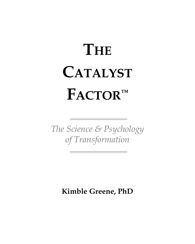## **THE CATALYST FACTOR™**

*The Science & Psychology of Transformation*

**Kimble Greene, PhD**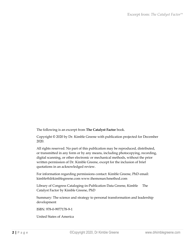The following is an excerpt from **The Catalyst Factor** book.

Copyright © 2020 by Dr. Kimble Greene with publication projected for December 2020.

All rights reserved. No part of this publication may be reproduced, distributed, or transmitted in any form or by any means, including photocopying, recording, digital scanning, or other electronic or mechanical methods, without the prior written permission of Dr. Kimble Greene, except for the inclusion of brief quotations in an acknowledged review.

For information regarding permissions contact: Kimble Greene, PhD email: kimble@drkimblegreene.com www.themonarchmethod.com

Library of Congress Cataloging-in-Publication Data Greene, Kimble The Catalyst Factor by Kimble Greene, PhD

Summary: The science and strategy to personal transformation and leadership development

ISBN: 978-0-9977178-9-1

United States of America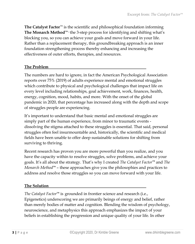**The Catalyst Factor**™ is the scientific and philosophical foundation informing **The Monarch Method™ -** the 3-step process for identifying and shifting what's blocking you, so you can achieve your goals and move forward in your life. Rather than a replacement therapy, this groundbreaking approach is an inner foundation strengthening process thereby enhancing and increasing the effectiveness of outer efforts, therapies, and resources.

## **The Problem**

The numbers are hard to ignore, in fact the American Psychological Association reports over 75% (2019) of adults experience mental and emotional struggles which contribute to physical and psychological challenges that impact life on every level including relationships, goal achievement, work, finances, health, energy, cognition, mood, habits, and more. With the onset of the global pandemic in 2020, that percentage has increased along with the depth and scope of struggles people are experiencing.

It's important to understand that basic mental and emotional struggles are simply part of the human experience, from minor to traumatic events dissolving the stigma attached to these struggles is essential. That said, personal struggles often feel insurmountable and, historically, the scientific and medical fields have been unable to offer deep sustainable solutions for shifting from surviving to thriving.

Recent research has proven you are more powerful than you realize, and you have the capacity within to resolve struggles, solve problems, and achieve your goals. It's all about the strategy. That's why I created *The Catalyst Factor™* and *The Monarch Method™* – these approaches give you the philosophies and practices to address and resolve those struggles so you can move forward with your life.

## **The Solution**

*The Catalyst Factor***™** is grounded in frontier science and research (i.e., Epigenetics) underscoring we are primarily beings of energy and belief, rather than merely bodies of matter and cognition. Blending the wisdom of psychology, neuroscience, and metaphysics this approach emphasizes the impact of your beliefs in establishing the progression and unique quality of your life. In other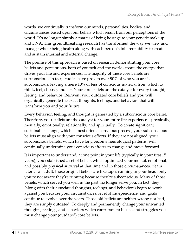words, we continually transform our minds, personalities, bodies, and circumstances based upon our beliefs which result from our perceptions of the world. It's no longer simply a matter of being hostage to your genetic makeup and DNA. This groundbreaking research has transformed the way we view and manage whole being health along with each person's inherent ability to create and sustain internal and external change.

The premise of this approach is based on research demonstrating your core beliefs and perceptions, both of yourself and the world, create the energy that drives your life and experiences. The majority of these core beliefs are subconscious. In fact, studies have proven over 90% of who you are is subconscious, leaving a mere 10% or less of conscious material from which to think, feel, choose, and act. Your core beliefs are the catalyst for every thought, feeling, and behavior. Reinvent your outdated core beliefs and you will organically generate the exact thoughts, feelings, and behaviors that will transform you and your future.

Every behavior, feeling, and thought is generated by a subconscious core belief. Therefore, your beliefs are the catalyst for your entire life experience – physically, mentally, emotionally, relationally, and spiritually. To create significant sustainable change, which is most often a conscious process, your subconscious beliefs must align with your conscious efforts. If they are not aligned, your subconscious beliefs, which have long become neurological patterns, will continually undermine your conscious efforts to change and move forward.

It is important to understand, at one point in your life (typically in your first 15 years), you established a set of beliefs which optimized your mental, emotional, and possibly physical survival at that time and in those circumstances. Years later as an adult, those original beliefs are like tapes running in your head, only you're not aware they're running because they're subconscious. Many of those beliefs, which served you well in the past, no longer serve you. In fact, they (along with their associated thoughts, feelings, and behaviors) begin to work against you because your circumstances, level of independence, and goals continue to evolve over the years. Those old beliefs are neither wrong nor bad, they are simply outdated. To deeply and permanently change your unwanted thoughts, feelings, and behaviors which contribute to blocks and struggles you must change your (outdated) core beliefs.